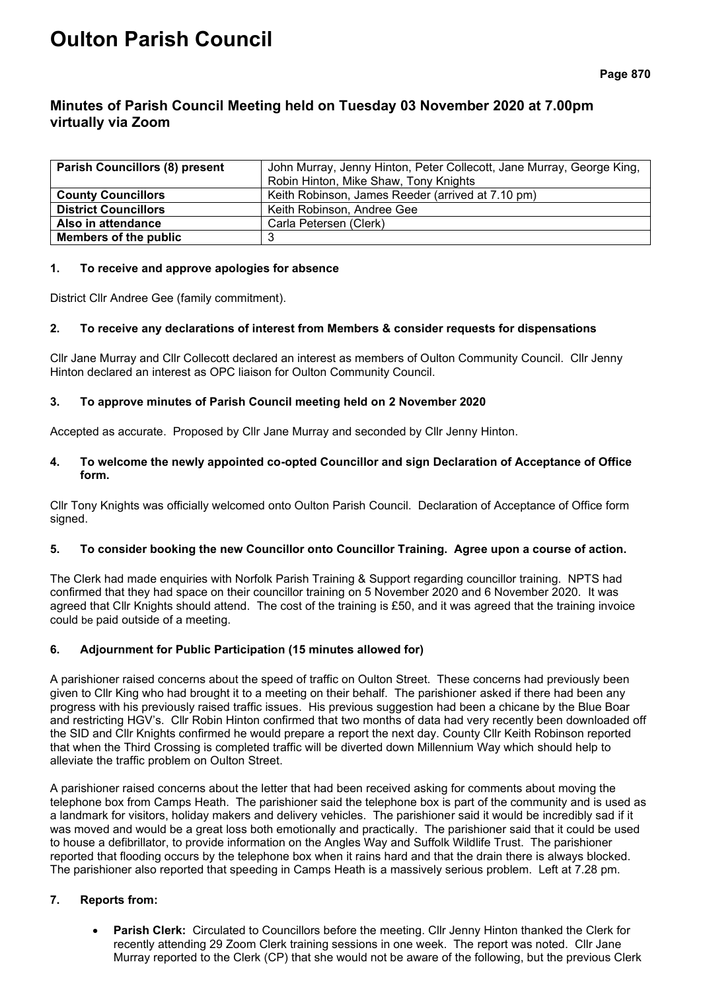# **Oulton Parish Council**

## **Minutes of Parish Council Meeting held on Tuesday 03 November 2020 at 7.00pm virtually via Zoom**

| <b>Parish Councillors (8) present</b> | John Murray, Jenny Hinton, Peter Collecott, Jane Murray, George King, |  |  |
|---------------------------------------|-----------------------------------------------------------------------|--|--|
|                                       | Robin Hinton, Mike Shaw, Tony Knights                                 |  |  |
| <b>County Councillors</b>             | Keith Robinson, James Reeder (arrived at 7.10 pm)                     |  |  |
| <b>District Councillors</b>           | Keith Robinson, Andree Gee                                            |  |  |
| Also in attendance                    | Carla Petersen (Clerk)                                                |  |  |
| Members of the public                 |                                                                       |  |  |

## **1. To receive and approve apologies for absence**

District Cllr Andree Gee (family commitment).

## **2. To receive any declarations of interest from Members & consider requests for dispensations**

Cllr Jane Murray and Cllr Collecott declared an interest as members of Oulton Community Council. Cllr Jenny Hinton declared an interest as OPC liaison for Oulton Community Council.

## **3. To approve minutes of Parish Council meeting held on 2 November 2020**

Accepted as accurate. Proposed by Cllr Jane Murray and seconded by Cllr Jenny Hinton.

## **4. To welcome the newly appointed co-opted Councillor and sign Declaration of Acceptance of Office form.**

Cllr Tony Knights was officially welcomed onto Oulton Parish Council. Declaration of Acceptance of Office form signed.

## **5. To consider booking the new Councillor onto Councillor Training. Agree upon a course of action.**

The Clerk had made enquiries with Norfolk Parish Training & Support regarding councillor training. NPTS had confirmed that they had space on their councillor training on 5 November 2020 and 6 November 2020. It was agreed that Cllr Knights should attend. The cost of the training is £50, and it was agreed that the training invoice could be paid outside of a meeting.

## **6. Adjournment for Public Participation (15 minutes allowed for)**

A parishioner raised concerns about the speed of traffic on Oulton Street. These concerns had previously been given to Cllr King who had brought it to a meeting on their behalf. The parishioner asked if there had been any progress with his previously raised traffic issues. His previous suggestion had been a chicane by the Blue Boar and restricting HGV's. Cllr Robin Hinton confirmed that two months of data had very recently been downloaded off the SID and Cllr Knights confirmed he would prepare a report the next day. County Cllr Keith Robinson reported that when the Third Crossing is completed traffic will be diverted down Millennium Way which should help to alleviate the traffic problem on Oulton Street.

A parishioner raised concerns about the letter that had been received asking for comments about moving the telephone box from Camps Heath. The parishioner said the telephone box is part of the community and is used as a landmark for visitors, holiday makers and delivery vehicles. The parishioner said it would be incredibly sad if it was moved and would be a great loss both emotionally and practically. The parishioner said that it could be used to house a defibrillator, to provide information on the Angles Way and Suffolk Wildlife Trust. The parishioner reported that flooding occurs by the telephone box when it rains hard and that the drain there is always blocked. The parishioner also reported that speeding in Camps Heath is a massively serious problem. Left at 7.28 pm.

## **7. Reports from:**

• **Parish Clerk:** Circulated to Councillors before the meeting. Cllr Jenny Hinton thanked the Clerk for recently attending 29 Zoom Clerk training sessions in one week. The report was noted. Cllr Jane Murray reported to the Clerk (CP) that she would not be aware of the following, but the previous Clerk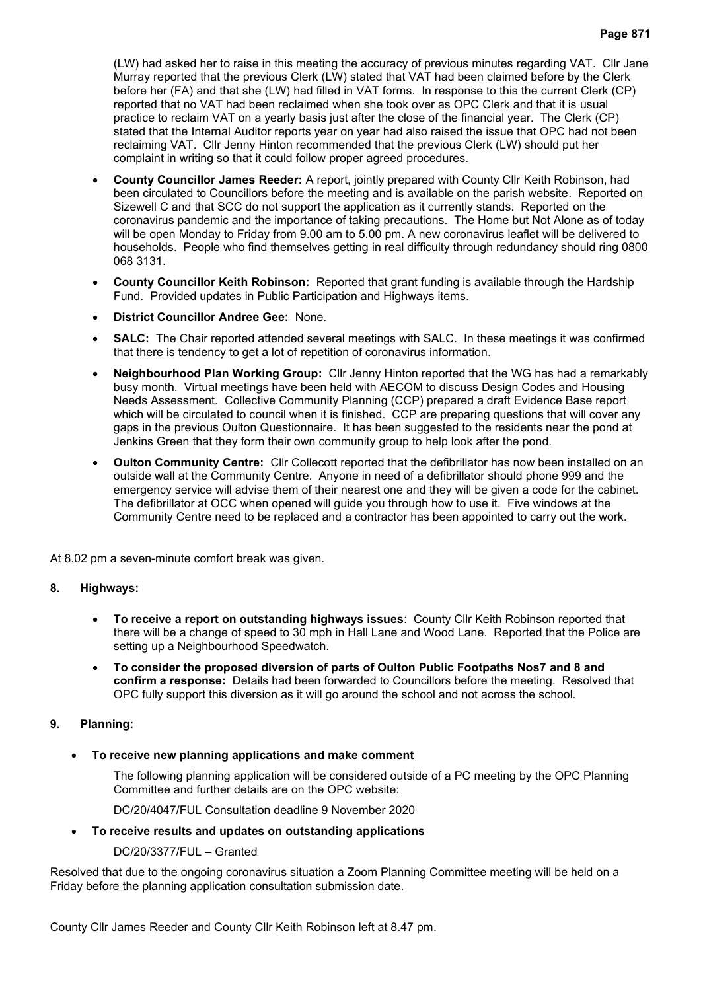(LW) had asked her to raise in this meeting the accuracy of previous minutes regarding VAT. Cllr Jane Murray reported that the previous Clerk (LW) stated that VAT had been claimed before by the Clerk before her (FA) and that she (LW) had filled in VAT forms. In response to this the current Clerk (CP) reported that no VAT had been reclaimed when she took over as OPC Clerk and that it is usual practice to reclaim VAT on a yearly basis just after the close of the financial year. The Clerk (CP) stated that the Internal Auditor reports year on year had also raised the issue that OPC had not been reclaiming VAT. Cllr Jenny Hinton recommended that the previous Clerk (LW) should put her complaint in writing so that it could follow proper agreed procedures.

- **County Councillor James Reeder:** A report, jointly prepared with County Cllr Keith Robinson, had been circulated to Councillors before the meeting and is available on the parish website. Reported on Sizewell C and that SCC do not support the application as it currently stands. Reported on the coronavirus pandemic and the importance of taking precautions. The Home but Not Alone as of today will be open Monday to Friday from 9.00 am to 5.00 pm. A new coronavirus leaflet will be delivered to households. People who find themselves getting in real difficulty through redundancy should ring 0800 068 3131.
- **County Councillor Keith Robinson:** Reported that grant funding is available through the Hardship Fund. Provided updates in Public Participation and Highways items.
- **District Councillor Andree Gee:** None.
- **SALC:** The Chair reported attended several meetings with SALC. In these meetings it was confirmed that there is tendency to get a lot of repetition of coronavirus information.
- **Neighbourhood Plan Working Group:** Cllr Jenny Hinton reported that the WG has had a remarkably busy month. Virtual meetings have been held with AECOM to discuss Design Codes and Housing Needs Assessment. Collective Community Planning (CCP) prepared a draft Evidence Base report which will be circulated to council when it is finished. CCP are preparing questions that will cover any gaps in the previous Oulton Questionnaire. It has been suggested to the residents near the pond at Jenkins Green that they form their own community group to help look after the pond.
- **Oulton Community Centre:** Cllr Collecott reported that the defibrillator has now been installed on an outside wall at the Community Centre. Anyone in need of a defibrillator should phone 999 and the emergency service will advise them of their nearest one and they will be given a code for the cabinet. The defibrillator at OCC when opened will guide you through how to use it. Five windows at the Community Centre need to be replaced and a contractor has been appointed to carry out the work.

At 8.02 pm a seven-minute comfort break was given.

## **8. Highways:**

- **To receive a report on outstanding highways issues**:County Cllr Keith Robinson reported that there will be a change of speed to 30 mph in Hall Lane and Wood Lane. Reported that the Police are setting up a Neighbourhood Speedwatch.
- **To consider the proposed diversion of parts of Oulton Public Footpaths Nos7 and 8 and confirm a response:** Details had been forwarded to Councillors before the meeting. Resolved that OPC fully support this diversion as it will go around the school and not across the school.

## **9. Planning:**

• **To receive new planning applications and make comment**

The following planning application will be considered outside of a PC meeting by the OPC Planning Committee and further details are on the OPC website:

DC/20/4047/FUL Consultation deadline 9 November 2020

• **To receive results and updates on outstanding applications**

## DC/20/3377/FUL – Granted

Resolved that due to the ongoing coronavirus situation a Zoom Planning Committee meeting will be held on a Friday before the planning application consultation submission date.

County Cllr James Reeder and County Cllr Keith Robinson left at 8.47 pm.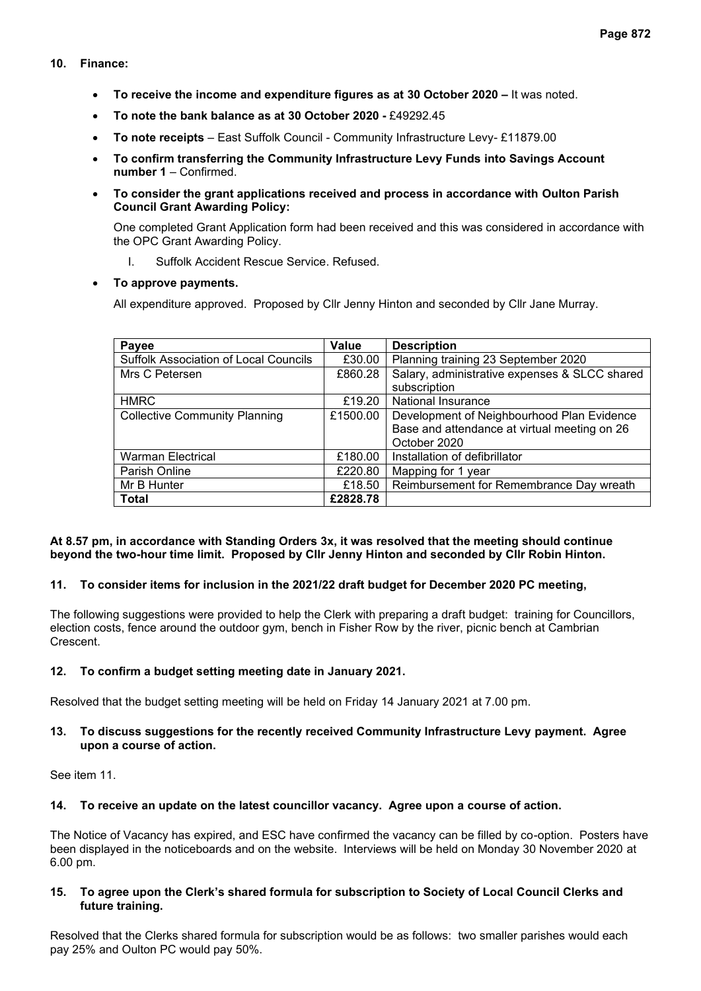## **10. Finance:**

- **To receive the income and expenditure figures as at 30 October 2020 –** It was noted.
- **To note the bank balance as at 30 October 2020 -** £49292.45
- **To note receipts** East Suffolk Council Community Infrastructure Levy- £11879.00
- **To confirm transferring the Community Infrastructure Levy Funds into Savings Account number 1** – Confirmed.
- **To consider the grant applications received and process in accordance with Oulton Parish Council Grant Awarding Policy:**

One completed Grant Application form had been received and this was considered in accordance with the OPC Grant Awarding Policy.

I. Suffolk Accident Rescue Service. Refused.

## • **To approve payments.**

All expenditure approved. Proposed by Cllr Jenny Hinton and seconded by Cllr Jane Murray.

| Payee                                        | Value    | <b>Description</b>                            |
|----------------------------------------------|----------|-----------------------------------------------|
| <b>Suffolk Association of Local Councils</b> | £30.00   | Planning training 23 September 2020           |
| Mrs C Petersen                               | £860.28  | Salary, administrative expenses & SLCC shared |
|                                              |          | subscription                                  |
| <b>HMRC</b>                                  | £19.20   | National Insurance                            |
| <b>Collective Community Planning</b>         | £1500.00 | Development of Neighbourhood Plan Evidence    |
|                                              |          | Base and attendance at virtual meeting on 26  |
|                                              |          | October 2020                                  |
| <b>Warman Electrical</b>                     | £180.00  | Installation of defibrillator                 |
| Parish Online                                | £220.80  | Mapping for 1 year                            |
| Mr B Hunter                                  | £18.50   | Reimbursement for Remembrance Day wreath      |
| <b>Total</b>                                 | £2828.78 |                                               |

## **At 8.57 pm, in accordance with Standing Orders 3x, it was resolved that the meeting should continue beyond the two-hour time limit. Proposed by Cllr Jenny Hinton and seconded by Cllr Robin Hinton.**

## **11. To consider items for inclusion in the 2021/22 draft budget for December 2020 PC meeting,**

The following suggestions were provided to help the Clerk with preparing a draft budget: training for Councillors, election costs, fence around the outdoor gym, bench in Fisher Row by the river, picnic bench at Cambrian Crescent.

## **12. To confirm a budget setting meeting date in January 2021.**

Resolved that the budget setting meeting will be held on Friday 14 January 2021 at 7.00 pm.

## **13. To discuss suggestions for the recently received Community Infrastructure Levy payment. Agree upon a course of action.**

See item 11.

## **14. To receive an update on the latest councillor vacancy. Agree upon a course of action.**

The Notice of Vacancy has expired, and ESC have confirmed the vacancy can be filled by co-option. Posters have been displayed in the noticeboards and on the website. Interviews will be held on Monday 30 November 2020 at 6.00 pm.

#### **15. To agree upon the Clerk's shared formula for subscription to Society of Local Council Clerks and future training.**

Resolved that the Clerks shared formula for subscription would be as follows: two smaller parishes would each pay 25% and Oulton PC would pay 50%.